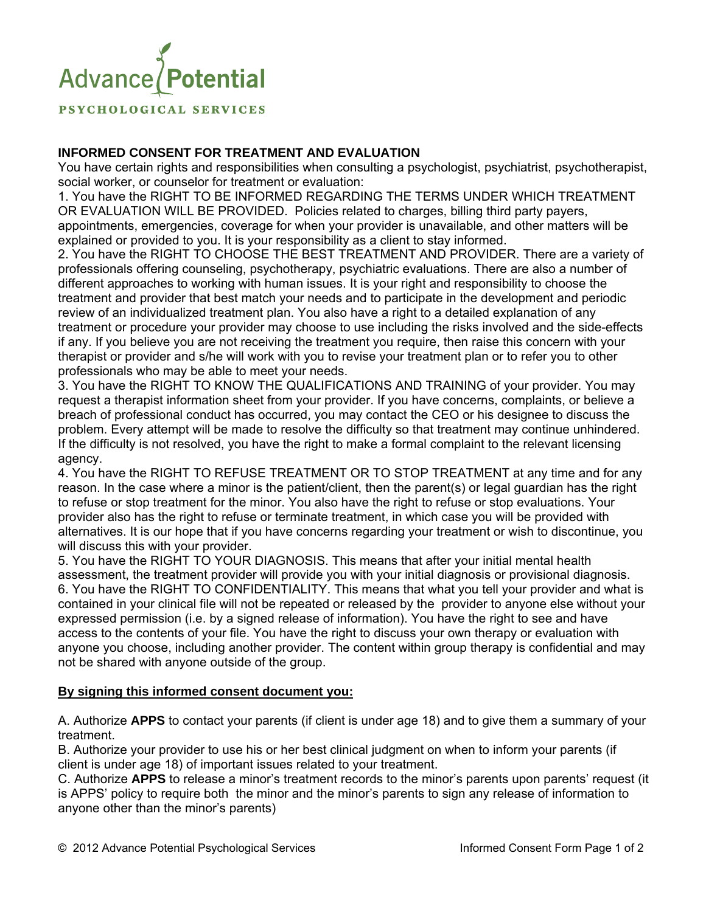

PSYCHOLOGICAL SERVICES

## **INFORMED CONSENT FOR TREATMENT AND EVALUATION**

You have certain rights and responsibilities when consulting a psychologist, psychiatrist, psychotherapist, social worker, or counselor for treatment or evaluation:

1. You have the RIGHT TO BE INFORMED REGARDING THE TERMS UNDER WHICH TREATMENT OR EVALUATION WILL BE PROVIDED. Policies related to charges, billing third party payers, appointments, emergencies, coverage for when your provider is unavailable, and other matters will be explained or provided to you. It is your responsibility as a client to stay informed.

2. You have the RIGHT TO CHOOSE THE BEST TREATMENT AND PROVIDER. There are a variety of professionals offering counseling, psychotherapy, psychiatric evaluations. There are also a number of different approaches to working with human issues. It is your right and responsibility to choose the treatment and provider that best match your needs and to participate in the development and periodic review of an individualized treatment plan. You also have a right to a detailed explanation of any treatment or procedure your provider may choose to use including the risks involved and the side-effects if any. If you believe you are not receiving the treatment you require, then raise this concern with your therapist or provider and s/he will work with you to revise your treatment plan or to refer you to other professionals who may be able to meet your needs.

3. You have the RIGHT TO KNOW THE QUALIFICATIONS AND TRAINING of your provider. You may request a therapist information sheet from your provider. If you have concerns, complaints, or believe a breach of professional conduct has occurred, you may contact the CEO or his designee to discuss the problem. Every attempt will be made to resolve the difficulty so that treatment may continue unhindered. If the difficulty is not resolved, you have the right to make a formal complaint to the relevant licensing agency.

4. You have the RIGHT TO REFUSE TREATMENT OR TO STOP TREATMENT at any time and for any reason. In the case where a minor is the patient/client, then the parent(s) or legal guardian has the right to refuse or stop treatment for the minor. You also have the right to refuse or stop evaluations. Your provider also has the right to refuse or terminate treatment, in which case you will be provided with alternatives. It is our hope that if you have concerns regarding your treatment or wish to discontinue, you will discuss this with your provider.

5. You have the RIGHT TO YOUR DIAGNOSIS. This means that after your initial mental health assessment, the treatment provider will provide you with your initial diagnosis or provisional diagnosis. 6. You have the RIGHT TO CONFIDENTIALITY. This means that what you tell your provider and what is contained in your clinical file will not be repeated or released by the provider to anyone else without your expressed permission (i.e. by a signed release of information). You have the right to see and have access to the contents of your file. You have the right to discuss your own therapy or evaluation with anyone you choose, including another provider. The content within group therapy is confidential and may not be shared with anyone outside of the group.

## **By signing this informed consent document you:**

A. Authorize **APPS** to contact your parents (if client is under age 18) and to give them a summary of your treatment.

B. Authorize your provider to use his or her best clinical judgment on when to inform your parents (if client is under age 18) of important issues related to your treatment.

C. Authorize **APPS** to release a minor's treatment records to the minor's parents upon parents' request (it is APPS' policy to require both the minor and the minor's parents to sign any release of information to anyone other than the minor's parents)